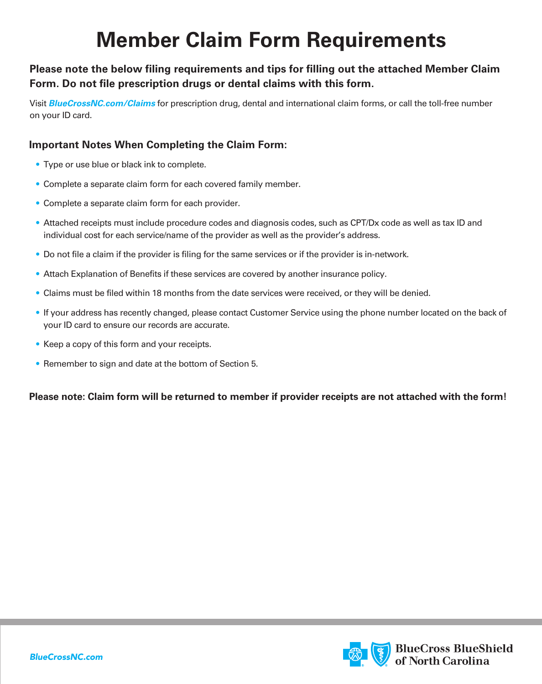## **Member Claim Form Requirements**

## **Please note the below filing requirements and tips for filling out the attached Member Claim Form. Do not file prescription drugs or dental claims with this form.**

Visit *BlueCrossNC.com/Claims* for prescription drug, dental and international claim forms, or call the toll-free number on your ID card.

## **Important Notes When Completing the Claim Form:**

- Type or use blue or black ink to complete.
- Complete a separate claim form for each covered family member.
- Complete a separate claim form for each provider.
- • Attached receipts must include procedure codes and diagnosis codes, such as CPT/Dx code as well as tax ID and individual cost for each service/name of the provider as well as the provider's address.
- Do not file a claim if the provider is filing for the same services or if the provider is in-network.
- Attach Explanation of Benefits if these services are covered by another insurance policy.
- Claims must be filed within 18 months from the date services were received, or they will be denied.
- • If your address has recently changed, please contact Customer Service using the phone number located on the back of your ID card to ensure our records are accurate.
- Keep a copy of this form and your receipts.
- Remember to sign and date at the bottom of Section 5.

**Please note: Claim form will be returned to member if provider receipts are not attached with the form!**